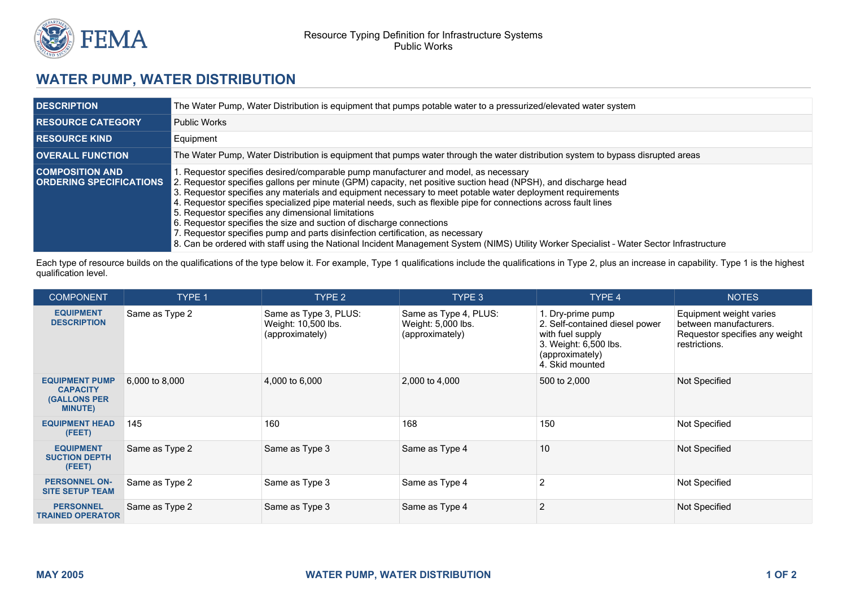

## **WATER PUMP, WATER DISTRIBUTION**

| <b>DESCRIPTION</b>                                       | The Water Pump, Water Distribution is equipment that pumps potable water to a pressurized/elevated water system                                                                                                                                                                                                                                                                                                                                                                                                                                                                                                                                                                                                                                                                                     |  |  |  |  |
|----------------------------------------------------------|-----------------------------------------------------------------------------------------------------------------------------------------------------------------------------------------------------------------------------------------------------------------------------------------------------------------------------------------------------------------------------------------------------------------------------------------------------------------------------------------------------------------------------------------------------------------------------------------------------------------------------------------------------------------------------------------------------------------------------------------------------------------------------------------------------|--|--|--|--|
| <b>I RESOURCE CATEGORY</b>                               | <b>Public Works</b>                                                                                                                                                                                                                                                                                                                                                                                                                                                                                                                                                                                                                                                                                                                                                                                 |  |  |  |  |
| <b>I RESOURCE KIND</b>                                   | Equipment                                                                                                                                                                                                                                                                                                                                                                                                                                                                                                                                                                                                                                                                                                                                                                                           |  |  |  |  |
| <b>OVERALL FUNCTION</b>                                  | The Water Pump, Water Distribution is equipment that pumps water through the water distribution system to bypass disrupted areas                                                                                                                                                                                                                                                                                                                                                                                                                                                                                                                                                                                                                                                                    |  |  |  |  |
| <b>COMPOSITION AND</b><br><b>ORDERING SPECIFICATIONS</b> | . Requestor specifies desired/comparable pump manufacturer and model, as necessary<br>2. Requestor specifies gallons per minute (GPM) capacity, net positive suction head (NPSH), and discharge head<br>3. Requestor specifies any materials and equipment necessary to meet potable water deployment requirements<br>4. Requestor specifies specialized pipe material needs, such as flexible pipe for connections across fault lines<br>5. Requestor specifies any dimensional limitations<br>6. Requestor specifies the size and suction of discharge connections<br>7. Requestor specifies pump and parts disinfection certification, as necessary<br>8. Can be ordered with staff using the National Incident Management System (NIMS) Utility Worker Specialist - Water Sector Infrastructure |  |  |  |  |

Each type of resource builds on the qualifications of the type below it. For example, Type 1 qualifications include the qualifications in Type 2, plus an increase in capability. Type 1 is the highest qualification level.

| <b>COMPONENT</b>                                                                  | <b>TYPE 1</b>  | TYPE 2                                                          | TYPE 3                                                         | TYPE 4                                                                                                                                 | <b>NOTES</b>                                                                                         |
|-----------------------------------------------------------------------------------|----------------|-----------------------------------------------------------------|----------------------------------------------------------------|----------------------------------------------------------------------------------------------------------------------------------------|------------------------------------------------------------------------------------------------------|
| <b>EQUIPMENT</b><br><b>DESCRIPTION</b>                                            | Same as Type 2 | Same as Type 3, PLUS:<br>Weight: 10,500 lbs.<br>(approximately) | Same as Type 4, PLUS:<br>Weight: 5,000 lbs.<br>(approximately) | 1. Dry-prime pump<br>2. Self-contained diesel power<br>with fuel supply<br>3. Weight: 6,500 lbs.<br>(approximately)<br>4. Skid mounted | Equipment weight varies<br>between manufacturers.<br>Requestor specifies any weight<br>restrictions. |
| <b>EQUIPMENT PUMP</b><br><b>CAPACITY</b><br><b>(GALLONS PER</b><br><b>MINUTE)</b> | 6,000 to 8,000 | 4,000 to 6,000                                                  | 2,000 to 4,000                                                 | 500 to 2,000                                                                                                                           | Not Specified                                                                                        |
| <b>EQUIPMENT HEAD</b><br>(FEET)                                                   | 145            | 160                                                             | 168                                                            | 150                                                                                                                                    | Not Specified                                                                                        |
| <b>EQUIPMENT</b><br><b>SUCTION DEPTH</b><br>(FEET)                                | Same as Type 2 | Same as Type 3                                                  | Same as Type 4                                                 | 10                                                                                                                                     | Not Specified                                                                                        |
| <b>PERSONNEL ON-</b><br><b>SITE SETUP TEAM</b>                                    | Same as Type 2 | Same as Type 3                                                  | Same as Type 4                                                 |                                                                                                                                        | Not Specified                                                                                        |
| <b>PERSONNEL</b><br><b>TRAINED OPERATOR</b>                                       | Same as Type 2 | Same as Type 3                                                  | Same as Type 4                                                 |                                                                                                                                        | Not Specified                                                                                        |